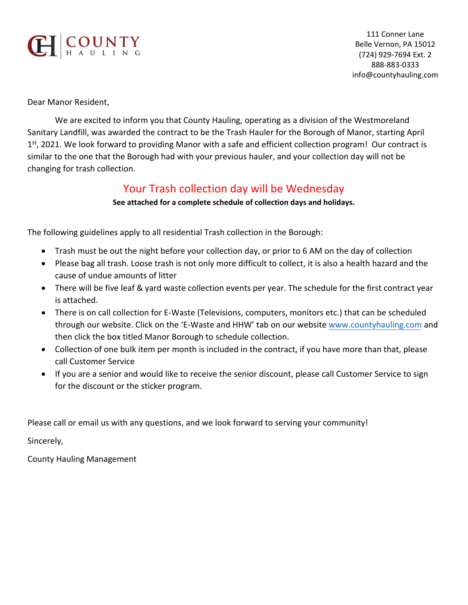

111 Conner Lane Belle Vernon, PA 15012 (724) 929-7694 Ext. 2 888-883-0333 info@countyhauling.com

Dear Manor Resident,

We are excited to inform you that County Hauling, operating as a division of the Westmoreland Sanitary Landfill, was awarded the contract to be the Trash Hauler for the Borough of Manor, starting April 1<sup>st</sup>, 2021. We look forward to providing Manor with a safe and efficient collection program! Our contract is similar to the one that the Borough had with your previous hauler, and your collection day will not be changing for trash collection.

## Your Trash collection day will be Wednesday

## **See attached for a complete schedule of collection days and holidays.**

The following guidelines apply to all residential Trash collection in the Borough:

- Trash must be out the night before your collection day, or prior to 6 AM on the day of collection
- Please bag all trash. Loose trash is not only more difficult to collect, it is also a health hazard and the cause of undue amounts of litter
- There will be five leaf & yard waste collection events per year. The schedule for the first contract year is attached.
- There is on call collection for E-Waste (Televisions, computers, monitors etc.) that can be scheduled through our website. Click on the 'E-Waste and HHW' tab on our website [www.countyhauling.com](http://www.countyhauling.com/) and then click the box titled Manor Borough to schedule collection.
- Collection of one bulk item per month is included in the contract, if you have more than that, please call Customer Service
- If you are a senior and would like to receive the senior discount, please call Customer Service to sign for the discount or the sticker program.

Please call or email us with any questions, and we look forward to serving your community!

Sincerely,

County Hauling Management